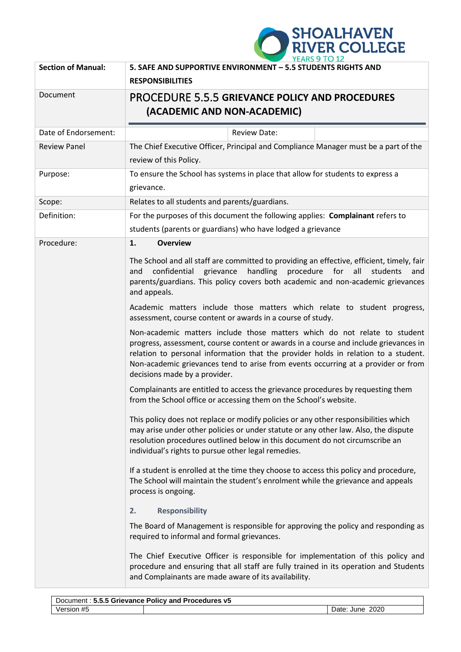

| <b>Section of Manual:</b> | 5. SAFE AND SUPPORTIVE ENVIRONMENT - 5.5 STUDENTS RIGHTS AND<br><b>RESPONSIBILITIES</b>                                                                                                                                                                                                                                                                                       |  |  |
|---------------------------|-------------------------------------------------------------------------------------------------------------------------------------------------------------------------------------------------------------------------------------------------------------------------------------------------------------------------------------------------------------------------------|--|--|
| Document                  | <b>PROCEDURE 5.5.5 GRIEVANCE POLICY AND PROCEDURES</b><br>(ACADEMIC AND NON-ACADEMIC)                                                                                                                                                                                                                                                                                         |  |  |
| Date of Endorsement:      | <b>Review Date:</b>                                                                                                                                                                                                                                                                                                                                                           |  |  |
| <b>Review Panel</b>       | The Chief Executive Officer, Principal and Compliance Manager must be a part of the<br>review of this Policy.                                                                                                                                                                                                                                                                 |  |  |
| Purpose:                  | To ensure the School has systems in place that allow for students to express a<br>grievance.                                                                                                                                                                                                                                                                                  |  |  |
| Scope:                    | Relates to all students and parents/guardians.                                                                                                                                                                                                                                                                                                                                |  |  |
| Definition:               | For the purposes of this document the following applies: Complainant refers to<br>students (parents or guardians) who have lodged a grievance                                                                                                                                                                                                                                 |  |  |
| Procedure:                | 1.<br><b>Overview</b>                                                                                                                                                                                                                                                                                                                                                         |  |  |
|                           | The School and all staff are committed to providing an effective, efficient, timely, fair<br>handling<br>confidential grievance<br>procedure<br>for<br>all<br>students<br>and<br>and<br>parents/guardians. This policy covers both academic and non-academic grievances<br>and appeals.                                                                                       |  |  |
|                           | Academic matters include those matters which relate to student progress,<br>assessment, course content or awards in a course of study.                                                                                                                                                                                                                                        |  |  |
|                           | Non-academic matters include those matters which do not relate to student<br>progress, assessment, course content or awards in a course and include grievances in<br>relation to personal information that the provider holds in relation to a student.<br>Non-academic grievances tend to arise from events occurring at a provider or from<br>decisions made by a provider. |  |  |
|                           | Complainants are entitled to access the grievance procedures by requesting them<br>from the School office or accessing them on the School's website.                                                                                                                                                                                                                          |  |  |
|                           | This policy does not replace or modify policies or any other responsibilities which<br>may arise under other policies or under statute or any other law. Also, the dispute<br>resolution procedures outlined below in this document do not circumscribe an<br>individual's rights to pursue other legal remedies.                                                             |  |  |
|                           | If a student is enrolled at the time they choose to access this policy and procedure,<br>The School will maintain the student's enrolment while the grievance and appeals<br>process is ongoing.                                                                                                                                                                              |  |  |
|                           | 2.<br><b>Responsibility</b>                                                                                                                                                                                                                                                                                                                                                   |  |  |
|                           | The Board of Management is responsible for approving the policy and responding as<br>required to informal and formal grievances.                                                                                                                                                                                                                                              |  |  |
|                           | The Chief Executive Officer is responsible for implementation of this policy and<br>procedure and ensuring that all staff are fully trained in its operation and Students<br>and Complainants are made aware of its availability.                                                                                                                                             |  |  |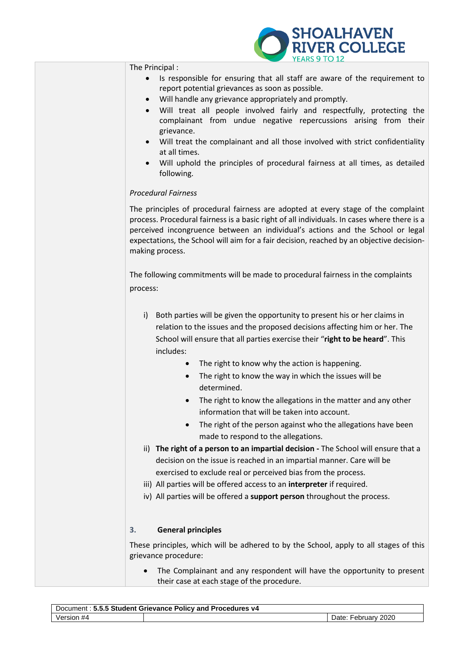

|    | YEARS 9 TO 12                                                                                                                                                                                                                                                                                                                                                                                                                                                                                                                                                                                  |
|----|------------------------------------------------------------------------------------------------------------------------------------------------------------------------------------------------------------------------------------------------------------------------------------------------------------------------------------------------------------------------------------------------------------------------------------------------------------------------------------------------------------------------------------------------------------------------------------------------|
|    | The Principal:<br>Is responsible for ensuring that all staff are aware of the requirement to<br>report potential grievances as soon as possible.<br>Will handle any grievance appropriately and promptly.<br>$\bullet$<br>Will treat all people involved fairly and respectfully, protecting the<br>$\bullet$<br>complainant from undue negative repercussions arising from their<br>grievance.<br>Will treat the complainant and all those involved with strict confidentiality<br>at all times.<br>Will uphold the principles of procedural fairness at all times, as detailed<br>following. |
|    | <b>Procedural Fairness</b>                                                                                                                                                                                                                                                                                                                                                                                                                                                                                                                                                                     |
|    | The principles of procedural fairness are adopted at every stage of the complaint<br>process. Procedural fairness is a basic right of all individuals. In cases where there is a<br>perceived incongruence between an individual's actions and the School or legal<br>expectations, the School will aim for a fair decision, reached by an objective decision-<br>making process.                                                                                                                                                                                                              |
|    | The following commitments will be made to procedural fairness in the complaints<br>process:                                                                                                                                                                                                                                                                                                                                                                                                                                                                                                    |
|    | Both parties will be given the opportunity to present his or her claims in<br>i)<br>relation to the issues and the proposed decisions affecting him or her. The<br>School will ensure that all parties exercise their "right to be heard". This<br>includes:                                                                                                                                                                                                                                                                                                                                   |
|    | The right to know why the action is happening.<br>The right to know the way in which the issues will be<br>$\bullet$<br>determined.                                                                                                                                                                                                                                                                                                                                                                                                                                                            |
|    | The right to know the allegations in the matter and any other<br>information that will be taken into account.<br>The right of the person against who the allegations have been<br>$\bullet$<br>made to respond to the allegations.                                                                                                                                                                                                                                                                                                                                                             |
|    | ii) The right of a person to an impartial decision - The School will ensure that a<br>decision on the issue is reached in an impartial manner. Care will be<br>exercised to exclude real or perceived bias from the process.<br>iii) All parties will be offered access to an interpreter if required.<br>iv) All parties will be offered a support person throughout the process.                                                                                                                                                                                                             |
| 3. | <b>General principles</b>                                                                                                                                                                                                                                                                                                                                                                                                                                                                                                                                                                      |
|    | These principles, which will be adhered to by the School, apply to all stages of this<br>grievance procedure:                                                                                                                                                                                                                                                                                                                                                                                                                                                                                  |
|    | The Complainant and any respondent will have the opportunity to present<br>their case at each stage of the procedure.                                                                                                                                                                                                                                                                                                                                                                                                                                                                          |

| Document: 5.5.5 Student Grievance Policy and Procedures v4 |  |                           |  |  |
|------------------------------------------------------------|--|---------------------------|--|--|
| Version #4                                                 |  | 2020<br>Date:<br>February |  |  |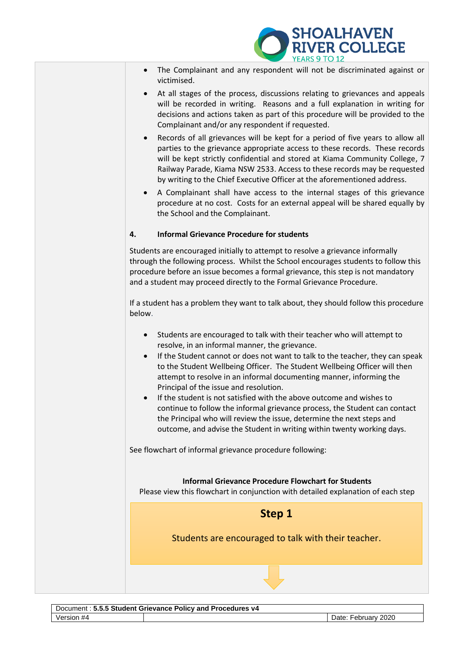

- The Complainant and any respondent will not be discriminated against or victimised.
- At all stages of the process, discussions relating to grievances and appeals will be recorded in writing. Reasons and a full explanation in writing for decisions and actions taken as part of this procedure will be provided to the Complainant and/or any respondent if requested.
- Records of all grievances will be kept for a period of five years to allow all parties to the grievance appropriate access to these records. These records will be kept strictly confidential and stored at Kiama Community College, 7 Railway Parade, Kiama NSW 2533. Access to these records may be requested by writing to the Chief Executive Officer at the aforementioned address.
- A Complainant shall have access to the internal stages of this grievance procedure at no cost. Costs for an external appeal will be shared equally by the School and the Complainant.

### **4. Informal Grievance Procedure for students**

Students are encouraged initially to attempt to resolve a grievance informally through the following process. Whilst the School encourages students to follow this procedure before an issue becomes a formal grievance, this step is not mandatory and a student may proceed directly to the Formal Grievance Procedure.

If a student has a problem they want to talk about, they should follow this procedure below.

- Students are encouraged to talk with their teacher who will attempt to resolve, in an informal manner, the grievance.
- If the Student cannot or does not want to talk to the teacher, they can speak to the Student Wellbeing Officer. The Student Wellbeing Officer will then attempt to resolve in an informal documenting manner, informing the Principal of the issue and resolution.
- If the student is not satisfied with the above outcome and wishes to continue to follow the informal grievance process, the Student can contact the Principal who will review the issue, determine the next steps and outcome, and advise the Student in writing within twenty working days.

See flowchart of informal grievance procedure following:

#### **Informal Grievance Procedure Flowchart for Students**

Please view this flowchart in conjunction with detailed explanation of each step



Students are encouraged to talk with their teacher.

Document : **5.5.5 Student Grievance Policy and Procedures v4** Version #4 Date: February 2020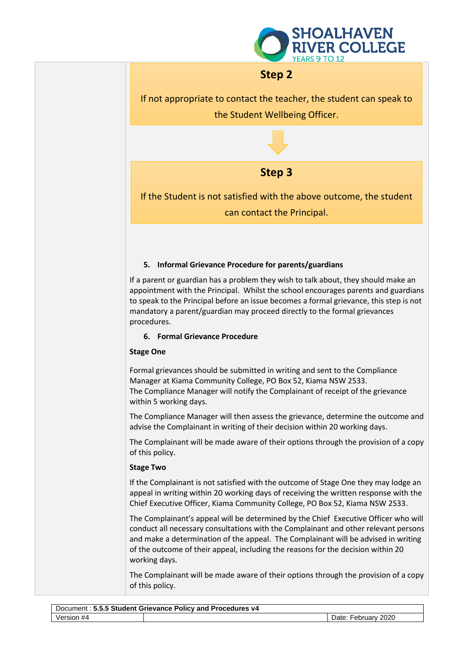

# **Step 2**

If not appropriate to contact the teacher, the student can speak to the Student Wellbeing Officer.

**Step 3**

If the Student is not satisfied with the above outcome, the student can contact the Principal.

## **5. Informal Grievance Procedure for parents/guardians**

If a parent or guardian has a problem they wish to talk about, they should make an appointment with the Principal. Whilst the school encourages parents and guardians to speak to the Principal before an issue becomes a formal grievance, this step is not mandatory a parent/guardian may proceed directly to the formal grievances procedures.

## **6. Formal Grievance Procedure**

## **Stage One**

Formal grievances should be submitted in writing and sent to the Compliance Manager at Kiama Community College, PO Box 52, Kiama NSW 2533. The Compliance Manager will notify the Complainant of receipt of the grievance within 5 working days.

The Compliance Manager will then assess the grievance, determine the outcome and advise the Complainant in writing of their decision within 20 working days.

The Complainant will be made aware of their options through the provision of a copy of this policy.

## **Stage Two**

If the Complainant is not satisfied with the outcome of Stage One they may lodge an appeal in writing within 20 working days of receiving the written response with the Chief Executive Officer, Kiama Community College, PO Box 52, Kiama NSW 2533.

The Complainant's appeal will be determined by the Chief Executive Officer who will conduct all necessary consultations with the Complainant and other relevant persons and make a determination of the appeal. The Complainant will be advised in writing of the outcome of their appeal, including the reasons for the decision within 20 working days.

The Complainant will be made aware of their options through the provision of a copy of this policy.

| Document: 5.5.5 Student Grievance Policy and Procedures v4 |  |                     |  |  |
|------------------------------------------------------------|--|---------------------|--|--|
| Version #4                                                 |  | Date: February 2020 |  |  |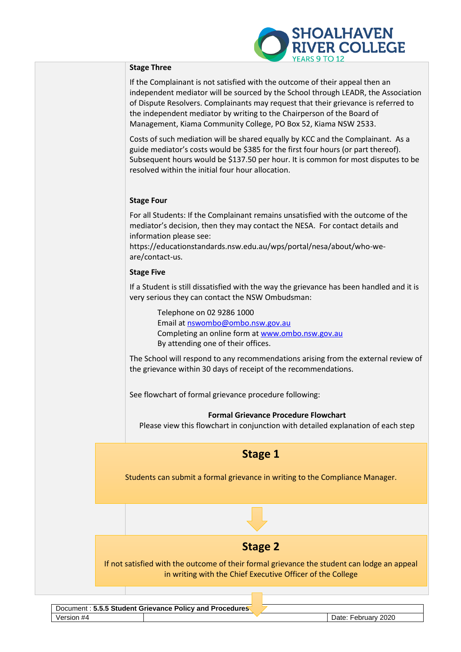

#### **Stage Three**

If the Complainant is not satisfied with the outcome of their appeal then an independent mediator will be sourced by the School through LEADR, the Association of Dispute Resolvers. Complainants may request that their grievance is referred to the independent mediator by writing to the Chairperson of the Board of Management, Kiama Community College, PO Box 52, Kiama NSW 2533.

Costs of such mediation will be shared equally by KCC and the Complainant. As a guide mediator's costs would be \$385 for the first four hours (or part thereof). Subsequent hours would be \$137.50 per hour. It is common for most disputes to be resolved within the initial four hour allocation.

#### **Stage Four**

For all Students: If the Complainant remains unsatisfied with the outcome of the mediator's decision, then they may contact the NESA. For contact details and information please see:

https://educationstandards.nsw.edu.au/wps/portal/nesa/about/who-weare/contact-us.

#### **Stage Five**

If a Student is still dissatisfied with the way the grievance has been handled and it is very serious they can contact the NSW Ombudsman:

Telephone on 02 9286 1000 Email at [nswombo@ombo.nsw.gov.au](mailto:nswombo@ombo.nsw.gov.au) Completing an online form at [www.ombo.nsw.gov.au](http://www.ombo.nsw.gov.au/) By attending one of their offices.

The School will respond to any recommendations arising from the external review of the grievance within 30 days of receipt of the recommendations.

See flowchart of formal grievance procedure following:

**Formal Grievance Procedure Flowchart** 

Please view this flowchart in conjunction with detailed explanation of each step

## **Stage 1**

Students can submit a formal grievance in writing to the Compliance Manager.

## **Stage 2**

If not satisfied with the outcome of their formal grievance the student can lodge an appeal in writing with the Chief Executive Officer of the College

Document : 5.5.5 Student Grievance Policy and Procedures Version #4 Date: February 2020